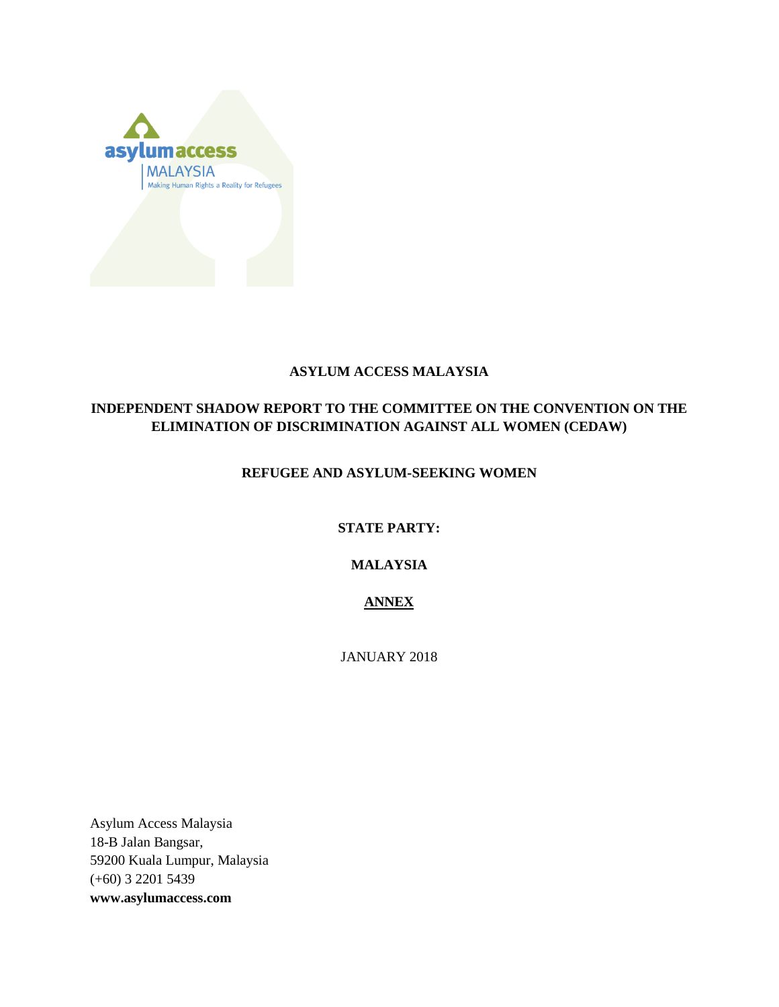

#### **ASYLUM ACCESS MALAYSIA**

#### **INDEPENDENT SHADOW REPORT TO THE COMMITTEE ON THE CONVENTION ON THE ELIMINATION OF DISCRIMINATION AGAINST ALL WOMEN (CEDAW)**

#### **REFUGEE AND ASYLUM-SEEKING WOMEN**

**STATE PARTY:**

#### **MALAYSIA**

#### **ANNEX**

JANUARY 2018

Asylum Access Malaysia 18-B Jalan Bangsar, 59200 Kuala Lumpur, Malaysia (+60) 3 2201 5439 **[www.asylumaccess.com](mailto:deepa.namibar@asylumaccess.org)**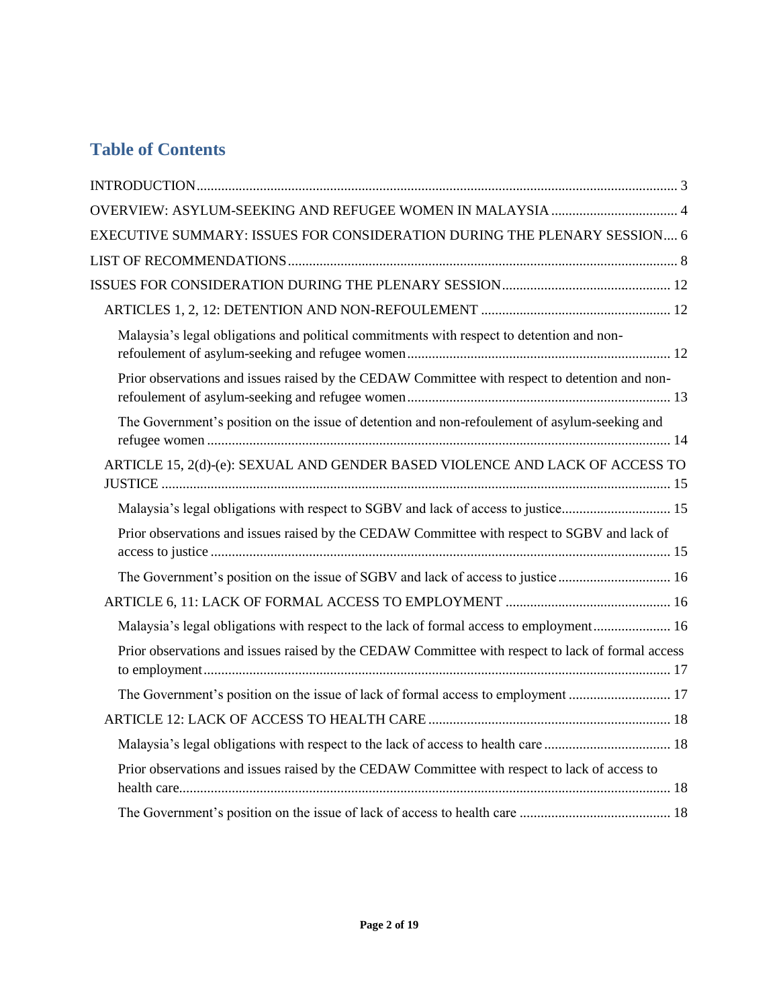# **Table of Contents**

| EXECUTIVE SUMMARY: ISSUES FOR CONSIDERATION DURING THE PLENARY SESSION 6                          |  |
|---------------------------------------------------------------------------------------------------|--|
|                                                                                                   |  |
|                                                                                                   |  |
|                                                                                                   |  |
| Malaysia's legal obligations and political commitments with respect to detention and non-         |  |
| Prior observations and issues raised by the CEDAW Committee with respect to detention and non-    |  |
| The Government's position on the issue of detention and non-refoulement of asylum-seeking and     |  |
| ARTICLE 15, 2(d)-(e): SEXUAL AND GENDER BASED VIOLENCE AND LACK OF ACCESS TO                      |  |
| Malaysia's legal obligations with respect to SGBV and lack of access to justice 15                |  |
| Prior observations and issues raised by the CEDAW Committee with respect to SGBV and lack of      |  |
| The Government's position on the issue of SGBV and lack of access to justice 16                   |  |
|                                                                                                   |  |
| Malaysia's legal obligations with respect to the lack of formal access to employment 16           |  |
| Prior observations and issues raised by the CEDAW Committee with respect to lack of formal access |  |
| The Government's position on the issue of lack of formal access to employment  17                 |  |
|                                                                                                   |  |
|                                                                                                   |  |
| Prior observations and issues raised by the CEDAW Committee with respect to lack of access to     |  |
|                                                                                                   |  |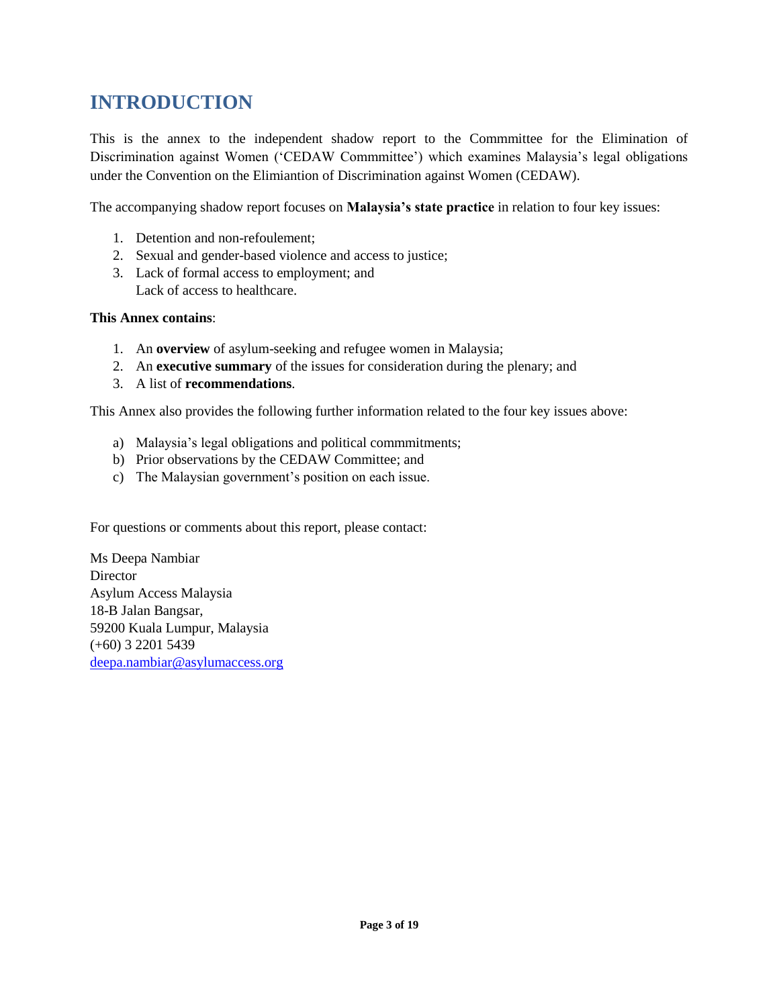# **INTRODUCTION**

This is the annex to the independent shadow report to the Commmittee for the Elimination of Discrimination against Women ('CEDAW Commmittee') which examines Malaysia's legal obligations under the Convention on the Elimiantion of Discrimination against Women (CEDAW).

The accompanying shadow report focuses on **Malaysia's state practice** in relation to four key issues:

- 1. Detention and non-refoulement;
- 2. Sexual and gender-based violence and access to justice;
- 3. Lack of formal access to employment; and Lack of access to healthcare.

#### **This Annex contains**:

- 1. An **overview** of asylum-seeking and refugee women in Malaysia;
- 2. An **executive summary** of the issues for consideration during the plenary; and
- 3. A list of **recommendations**.

This Annex also provides the following further information related to the four key issues above:

- a) Malaysia's legal obligations and political commmitments;
- b) Prior observations by the CEDAW Committee; and
- c) The Malaysian government's position on each issue.

For questions or comments about this report, please contact:

Ms Deepa Nambiar Director Asylum Access Malaysia 18-B Jalan Bangsar, 59200 Kuala Lumpur, Malaysia (+60) 3 2201 5439 [deepa.nambiar@asylumaccess.org](mailto:deepa.nambiar@asylumaccess.org)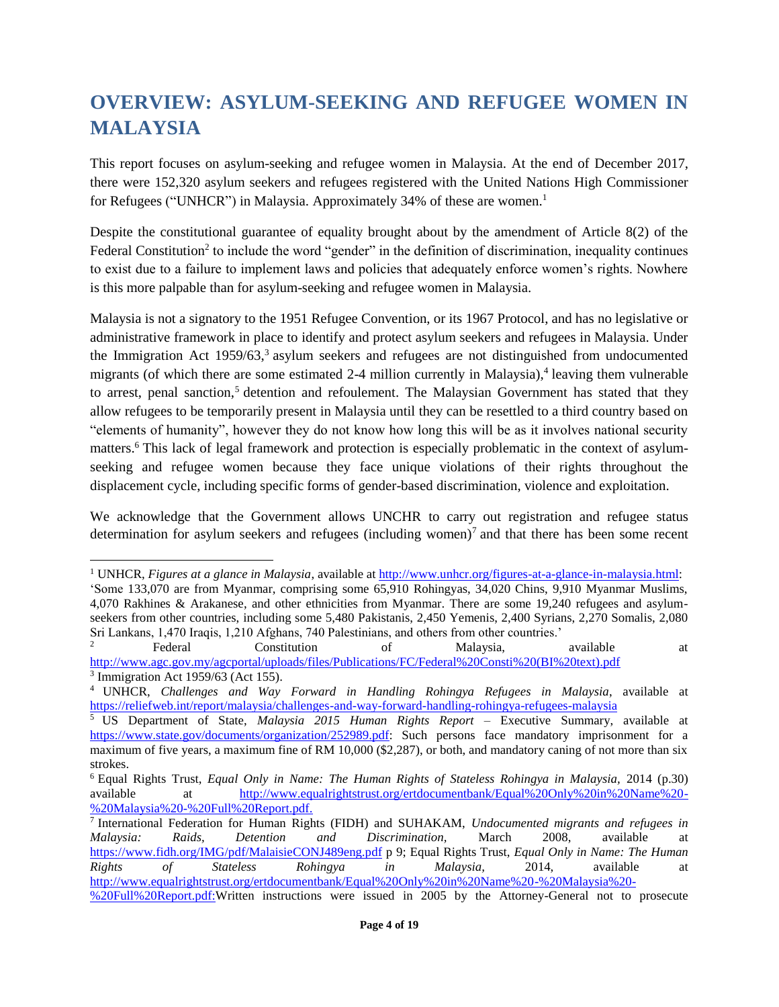# **OVERVIEW: ASYLUM-SEEKING AND REFUGEE WOMEN IN MALAYSIA**

This report focuses on asylum-seeking and refugee women in Malaysia. At the end of December 2017, there were 152,320 asylum seekers and refugees registered with the United Nations High Commissioner for Refugees ("UNHCR") in Malaysia. Approximately 34% of these are women.<sup>1</sup>

Despite the constitutional guarantee of equality brought about by the amendment of Article 8(2) of the Federal Constitution<sup>2</sup> to include the word "gender" in the definition of discrimination, inequality continues to exist due to a failure to implement laws and policies that adequately enforce women's rights. Nowhere is this more palpable than for asylum-seeking and refugee women in Malaysia.

Malaysia is not a signatory to the 1951 Refugee Convention, or its 1967 Protocol, and has no legislative or administrative framework in place to identify and protect asylum seekers and refugees in Malaysia. Under the Immigration Act 1959/63, 3 asylum seekers and refugees are not distinguished from undocumented migrants (of which there are some estimated 2-4 million currently in Malaysia),<sup>4</sup> leaving them vulnerable to arrest, penal sanction,<sup>5</sup> detention and refoulement. The Malaysian Government has stated that they allow refugees to be temporarily present in Malaysia until they can be resettled to a third country based on "elements of humanity", however they do not know how long this will be as it involves national security matters.<sup>6</sup> This lack of legal framework and protection is especially problematic in the context of asylumseeking and refugee women because they face unique violations of their rights throughout the displacement cycle, including specific forms of gender-based discrimination, violence and exploitation.

We acknowledge that the Government allows UNCHR to carry out registration and refugee status determination for asylum seekers and refugees (including women)<sup>7</sup> and that there has been some recent

<sup>1</sup> UNHCR, *Figures at a glance in Malaysia*, available at [http://www.unhcr.org/figures-at-a-glance-in-malaysia.html:](http://www.unhcr.org/figures-at-a-glance-in-malaysia.html) 'Some 133,070 are from Myanmar, comprising some 65,910 Rohingyas, 34,020 Chins, 9,910 Myanmar Muslims, 4,070 Rakhines & Arakanese, and other ethnicities from Myanmar. There are some 19,240 refugees and asylumseekers from other countries, including some 5,480 Pakistanis, 2,450 Yemenis, 2,400 Syrians, 2,270 Somalis, 2,080 Sri Lankans, 1,470 Iraqis, 1,210 Afghans, 740 Palestinians, and others from other countries.'

<sup>&</sup>lt;sup>2</sup> Federal Constitution of Malaysia, available at [http://www.agc.gov.my/agcportal/uploads/files/Publications/FC/Federal%20Consti%20\(BI%20text\).pdf](http://www.agc.gov.my/agcportal/uploads/files/Publications/FC/Federal%20Consti%20(BI%20text).pdf) 3 Immigration Act 1959/63 (Act 155).

<sup>4</sup> UNHCR, *Challenges and Way Forward in Handling Rohingya Refugees in Malaysia*, available at <https://reliefweb.int/report/malaysia/challenges-and-way-forward-handling-rohingya-refugees-malaysia>

<sup>5</sup> US Department of State, *Malaysia 2015 Human Rights Report –* Executive Summary, available at [https://www.state.gov/documents/organization/252989.pdf:](https://www.state.gov/documents/organization/252989.pdf) Such persons face mandatory imprisonment for a maximum of five years, a maximum fine of RM 10,000 (\$2,287), or both, and mandatory caning of not more than six strokes.

<sup>6</sup> Equal Rights Trust, *Equal Only in Name: The Human Rights of Stateless Rohingya in Malaysia,* 2014 (p.30) at [http://www.equalrightstrust.org/ertdocumentbank/Equal%20Only%20in%20Name%20-](http://www.equalrightstrust.org/ertdocumentbank/Equal%20Only%20in%20Name%20-%20Malaysia%20-%20Full%20Report.pdf) [%20Malaysia%20-%20Full%20Report.pdf.](http://www.equalrightstrust.org/ertdocumentbank/Equal%20Only%20in%20Name%20-%20Malaysia%20-%20Full%20Report.pdf)

<sup>7</sup> International Federation for Human Rights (FIDH) and SUHAKAM, *Undocumented migrants and refugees in Malaysia: Raids, Detention and Discrimination,* March 2008, available at <https://www.fidh.org/IMG/pdf/MalaisieCONJ489eng.pdf> p 9; Equal Rights Trust, *Equal Only in Name: The Human Rights of Stateless Rohingya in Malaysia,* 2014, available at [http://www.equalrightstrust.org/ertdocumentbank/Equal%20Only%20in%20Name%20-%20Malaysia%20-](http://www.equalrightstrust.org/ertdocumentbank/Equal%20Only%20in%20Name%20-%20Malaysia%20-%20Full%20Report.pdf) [%20Full%20Report.pdf:](http://www.equalrightstrust.org/ertdocumentbank/Equal%20Only%20in%20Name%20-%20Malaysia%20-%20Full%20Report.pdf)Written instructions were issued in 2005 by the Attorney-General not to prosecute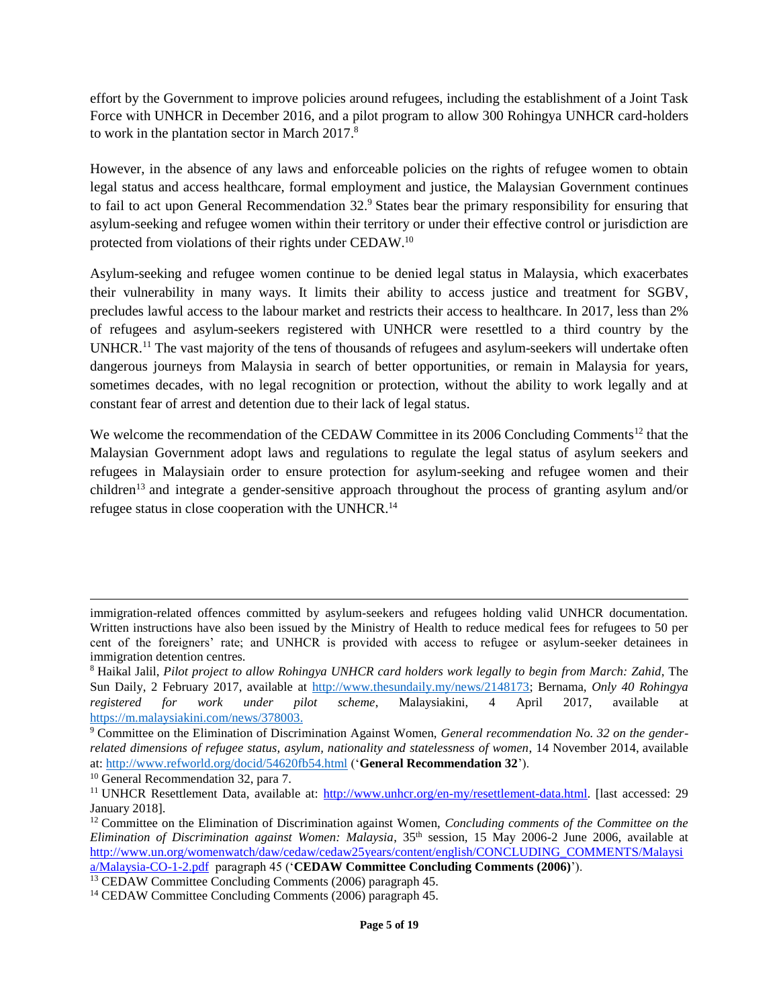effort by the Government to improve policies around refugees, including the establishment of a Joint Task Force with UNHCR in December 2016, and a pilot program to allow 300 Rohingya UNHCR card-holders to work in the plantation sector in March 2017. 8

However, in the absence of any laws and enforceable policies on the rights of refugee women to obtain legal status and access healthcare, formal employment and justice, the Malaysian Government continues to fail to act upon General Recommendation 32.<sup>9</sup> States bear the primary responsibility for ensuring that asylum-seeking and refugee women within their territory or under their effective control or jurisdiction are protected from violations of their rights under CEDAW.<sup>10</sup>

Asylum-seeking and refugee women continue to be denied legal status in Malaysia, which exacerbates their vulnerability in many ways. It limits their ability to access justice and treatment for SGBV, precludes lawful access to the labour market and restricts their access to healthcare. In 2017, less than 2% of refugees and asylum-seekers registered with UNHCR were resettled to a third country by the UNHCR.<sup>11</sup> The vast majority of the tens of thousands of refugees and asylum-seekers will undertake often dangerous journeys from Malaysia in search of better opportunities, or remain in Malaysia for years, sometimes decades, with no legal recognition or protection, without the ability to work legally and at constant fear of arrest and detention due to their lack of legal status.

We welcome the recommendation of the CEDAW Committee in its 2006 Concluding Comments<sup>12</sup> that the Malaysian Government adopt laws and regulations to regulate the legal status of asylum seekers and refugees in Malaysiain order to ensure protection for asylum-seeking and refugee women and their children<sup>13</sup> and integrate a gender-sensitive approach throughout the process of granting asylum and/or refugee status in close cooperation with the UNHCR.<sup>14</sup>

immigration-related offences committed by asylum-seekers and refugees holding valid UNHCR documentation. Written instructions have also been issued by the Ministry of Health to reduce medical fees for refugees to 50 per cent of the foreigners' rate; and UNHCR is provided with access to refugee or asylum-seeker detainees in immigration detention centres.

<sup>8</sup> Haikal Jalil, *Pilot project to allow Rohingya UNHCR card holders work legally to begin from March: Zahid*, The Sun Daily, 2 February 2017, available at [http://www.thesundaily.my/news/2148173;](http://www.thesundaily.my/news/2148173) Bernama, *Only 40 Rohingya registered for work under pilot scheme*, Malaysiakini, 4 April 2017, available at [https://m.malaysiakini.com/news/378003.](https://m.malaysiakini.com/news/378003)

<sup>9</sup> Committee on the Elimination of Discrimination Against Women, *General recommendation No. 32 on the genderrelated dimensions of refugee status, asylum, nationality and statelessness of women*, 14 November 2014, available at:<http://www.refworld.org/docid/54620fb54.html> ('**General Recommendation 32**').

<sup>&</sup>lt;sup>10</sup> General Recommendation 32, para 7.

<sup>&</sup>lt;sup>11</sup> UNHCR Resettlement Data, available at: [http://www.unhcr.org/en-my/resettlement-data.html.](http://www.unhcr.org/en-my/resettlement-data.html) [last accessed: 29 January 2018].

<sup>12</sup> Committee on the Elimination of Discrimination against Women, *Concluding comments of the Committee on the Elimination of Discrimination against Women: Malaysia*, 35th session, 15 May 2006-2 June 2006, available at [http://www.un.org/womenwatch/daw/cedaw/cedaw25years/content/english/CONCLUDING\\_COMMENTS/Malaysi](http://www.un.org/womenwatch/daw/cedaw/cedaw25years/content/english/CONCLUDING_COMMENTS/Malaysia/Malaysia-CO-1-2.pdf) [a/Malaysia-CO-1-2.pdf](http://www.un.org/womenwatch/daw/cedaw/cedaw25years/content/english/CONCLUDING_COMMENTS/Malaysia/Malaysia-CO-1-2.pdf) paragraph 45 ('**CEDAW Committee Concluding Comments (2006)**').

<sup>&</sup>lt;sup>13</sup> CEDAW Committee Concluding Comments (2006) paragraph 45.

<sup>14</sup> CEDAW Committee Concluding Comments (2006) paragraph 45.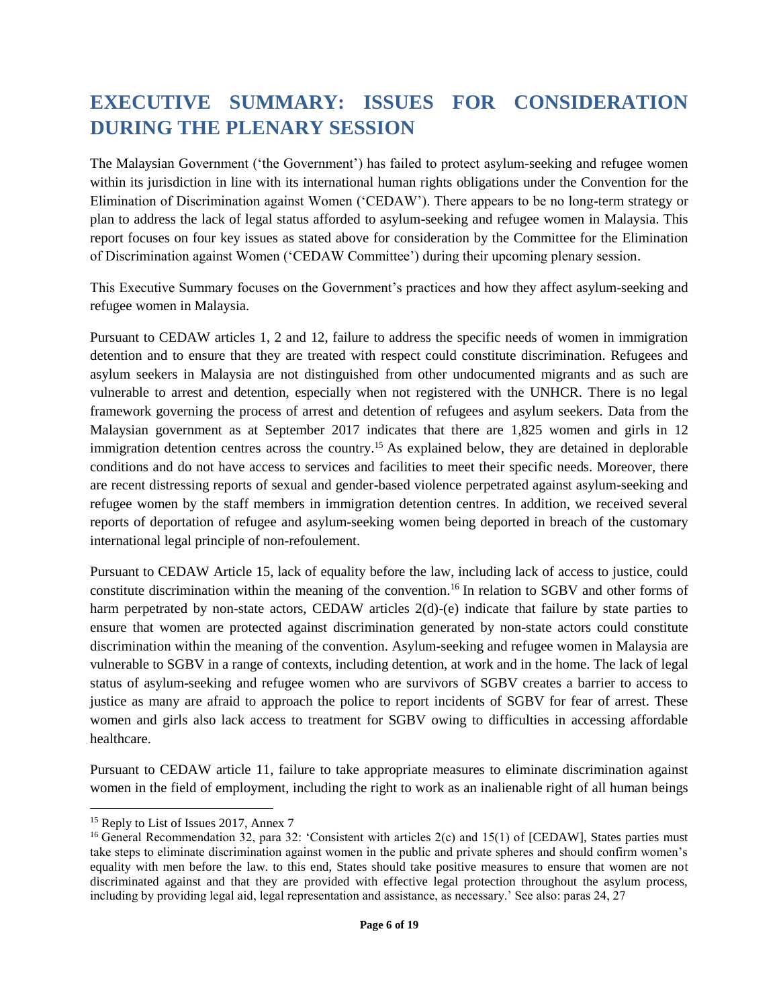# **EXECUTIVE SUMMARY: ISSUES FOR CONSIDERATION DURING THE PLENARY SESSION**

The Malaysian Government ('the Government') has failed to protect asylum-seeking and refugee women within its jurisdiction in line with its international human rights obligations under the Convention for the Elimination of Discrimination against Women ('CEDAW'). There appears to be no long-term strategy or plan to address the lack of legal status afforded to asylum-seeking and refugee women in Malaysia. This report focuses on four key issues as stated above for consideration by the Committee for the Elimination of Discrimination against Women ('CEDAW Committee') during their upcoming plenary session.

This Executive Summary focuses on the Government's practices and how they affect asylum-seeking and refugee women in Malaysia.

Pursuant to CEDAW articles 1, 2 and 12, failure to address the specific needs of women in immigration detention and to ensure that they are treated with respect could constitute discrimination. Refugees and asylum seekers in Malaysia are not distinguished from other undocumented migrants and as such are vulnerable to arrest and detention, especially when not registered with the UNHCR. There is no legal framework governing the process of arrest and detention of refugees and asylum seekers. Data from the Malaysian government as at September 2017 indicates that there are 1,825 women and girls in 12 immigration detention centres across the country.<sup>15</sup> As explained below, they are detained in deplorable conditions and do not have access to services and facilities to meet their specific needs. Moreover, there are recent distressing reports of sexual and gender-based violence perpetrated against asylum-seeking and refugee women by the staff members in immigration detention centres. In addition, we received several reports of deportation of refugee and asylum-seeking women being deported in breach of the customary international legal principle of non-refoulement.

Pursuant to CEDAW Article 15, lack of equality before the law, including lack of access to justice, could constitute discrimination within the meaning of the convention.<sup>16</sup> In relation to SGBV and other forms of harm perpetrated by non-state actors, CEDAW articles 2(d)-(e) indicate that failure by state parties to ensure that women are protected against discrimination generated by non-state actors could constitute discrimination within the meaning of the convention. Asylum-seeking and refugee women in Malaysia are vulnerable to SGBV in a range of contexts, including detention, at work and in the home. The lack of legal status of asylum-seeking and refugee women who are survivors of SGBV creates a barrier to access to justice as many are afraid to approach the police to report incidents of SGBV for fear of arrest. These women and girls also lack access to treatment for SGBV owing to difficulties in accessing affordable healthcare.

Pursuant to CEDAW article 11, failure to take appropriate measures to eliminate discrimination against women in the field of employment, including the right to work as an inalienable right of all human beings

<sup>&</sup>lt;sup>15</sup> Reply to List of Issues 2017, Annex 7

<sup>&</sup>lt;sup>16</sup> General Recommendation 32, para 32: 'Consistent with articles  $2(c)$  and  $15(1)$  of [CEDAW], States parties must take steps to eliminate discrimination against women in the public and private spheres and should confirm women's equality with men before the law. to this end, States should take positive measures to ensure that women are not discriminated against and that they are provided with effective legal protection throughout the asylum process, including by providing legal aid, legal representation and assistance, as necessary.' See also: paras 24, 27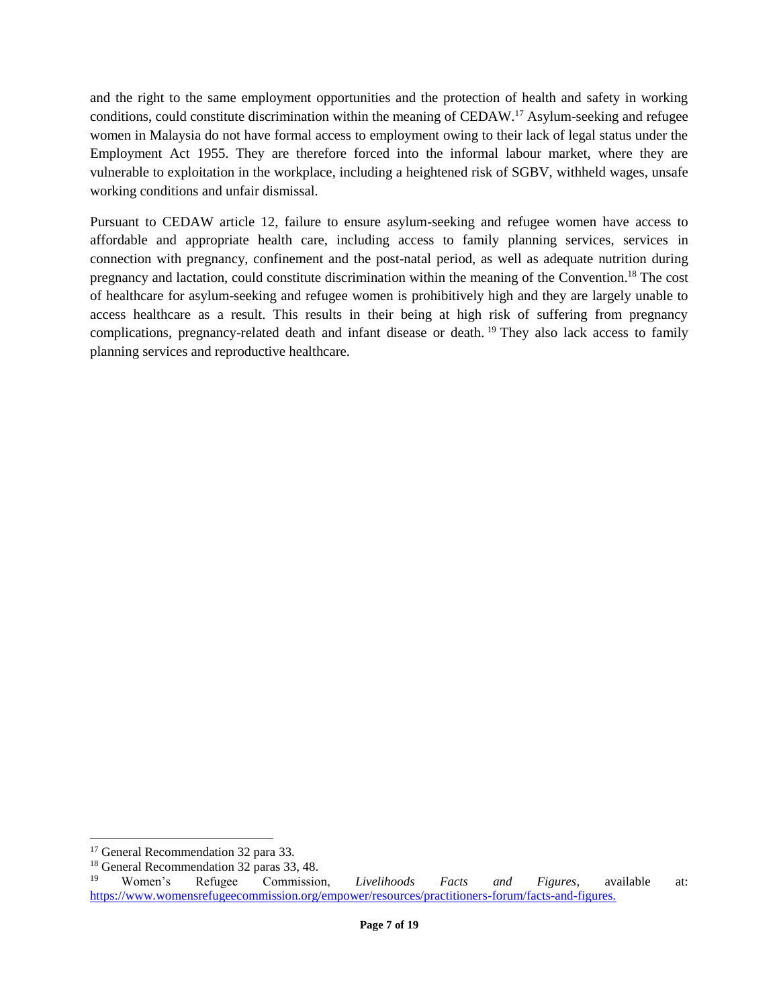and the right to the same employment opportunities and the protection of health and safety in working conditions, could constitute discrimination within the meaning of CEDAW. <sup>17</sup> Asylum-seeking and refugee women in Malaysia do not have formal access to employment owing to their lack of legal status under the Employment Act 1955. They are therefore forced into the informal labour market, where they are vulnerable to exploitation in the workplace, including a heightened risk of SGBV, withheld wages, unsafe working conditions and unfair dismissal.

Pursuant to CEDAW article 12, failure to ensure asylum-seeking and refugee women have access to affordable and appropriate health care, including access to family planning services, services in connection with pregnancy, confinement and the post-natal period, as well as adequate nutrition during pregnancy and lactation, could constitute discrimination within the meaning of the Convention.<sup>18</sup> The cost of healthcare for asylum-seeking and refugee women is prohibitively high and they are largely unable to access healthcare as a result. This results in their being at high risk of suffering from pregnancy complications, pregnancy-related death and infant disease or death. <sup>19</sup> They also lack access to family planning services and reproductive healthcare.

<sup>&</sup>lt;sup>17</sup> General Recommendation 32 para 33.

<sup>&</sup>lt;sup>18</sup> General Recommendation 32 paras 33, 48.

<sup>19</sup> Women's Refugee Commission, *Livelihoods Facts and Figures*, available at: [https://www.womensrefugeecommission.org/empower/resources/practitioners-forum/facts-and-figures.](https://www.womensrefugeecommission.org/empower/resources/practitioners-forum/facts-and-figures)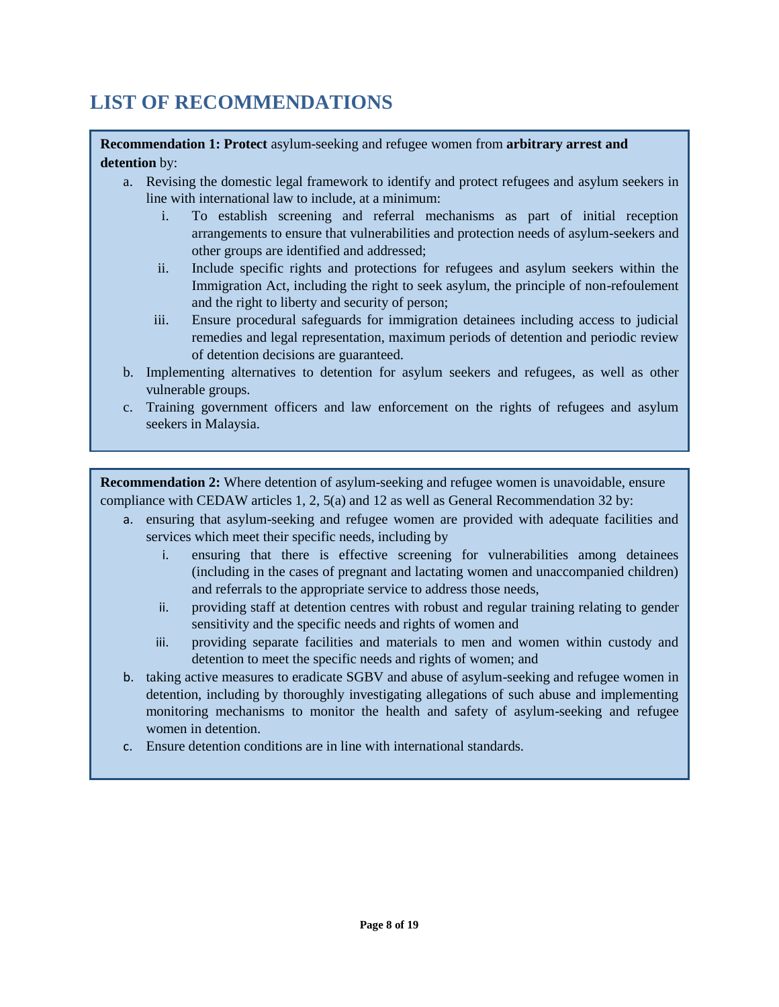# **LIST OF RECOMMENDATIONS**

**Recommendation 1: Protect** asylum-seeking and refugee women from **arbitrary arrest and detention** by:

- a. Revising the domestic legal framework to identify and protect refugees and asylum seekers in line with international law to include, at a minimum:
	- i. To establish screening and referral mechanisms as part of initial reception arrangements to ensure that vulnerabilities and protection needs of asylum-seekers and other groups are identified and addressed;
	- ii. Include specific rights and protections for refugees and asylum seekers within the Immigration Act, including the right to seek asylum, the principle of non-refoulement and the right to liberty and security of person;
	- iii. Ensure procedural safeguards for immigration detainees including access to judicial remedies and legal representation, maximum periods of detention and periodic review of detention decisions are guaranteed.
- b. Implementing alternatives to detention for asylum seekers and refugees, as well as other vulnerable groups.
- c. Training government officers and law enforcement on the rights of refugees and asylum seekers in Malaysia.

**Recommendation 2:** Where detention of asylum-seeking and refugee women is unavoidable, ensure compliance with CEDAW articles 1, 2, 5(a) and 12 as well as General Recommendation 32 by:

- a. ensuring that asylum-seeking and refugee women are provided with adequate facilities and services which meet their specific needs, including by
	- i. ensuring that there is effective screening for vulnerabilities among detainees (including in the cases of pregnant and lactating women and unaccompanied children) and referrals to the appropriate service to address those needs,
	- ii. providing staff at detention centres with robust and regular training relating to gender sensitivity and the specific needs and rights of women and
	- iii. providing separate facilities and materials to men and women within custody and detention to meet the specific needs and rights of women; and
- b. taking active measures to eradicate SGBV and abuse of asylum-seeking and refugee women in detention, including by thoroughly investigating allegations of such abuse and implementing monitoring mechanisms to monitor the health and safety of asylum-seeking and refugee women in detention.
- c. Ensure detention conditions are in line with international standards.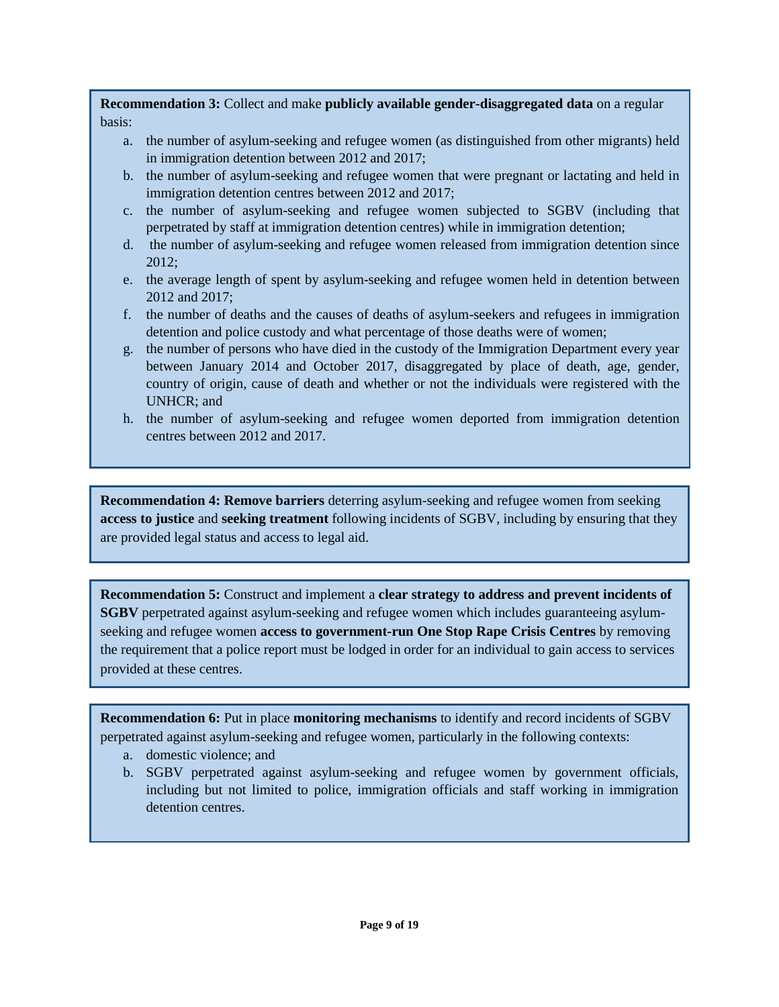**Recommendation 3:** Collect and make **publicly available gender-disaggregated data** on a regular basis:

- a. the number of asylum-seeking and refugee women (as distinguished from other migrants) held in immigration detention between 2012 and 2017;
- b. the number of asylum-seeking and refugee women that were pregnant or lactating and held in immigration detention centres between 2012 and 2017;
- c. the number of asylum-seeking and refugee women subjected to SGBV (including that perpetrated by staff at immigration detention centres) while in immigration detention;
- d. the number of asylum-seeking and refugee women released from immigration detention since 2012;
- e. the average length of spent by asylum-seeking and refugee women held in detention between 2012 and 2017;
- f. the number of deaths and the causes of deaths of asylum-seekers and refugees in immigration detention and police custody and what percentage of those deaths were of women;
- g. the number of persons who have died in the custody of the Immigration Department every year between January 2014 and October 2017, disaggregated by place of death, age, gender, country of origin, cause of death and whether or not the individuals were registered with the UNHCR; and
- h. the number of asylum-seeking and refugee women deported from immigration detention centres between 2012 and 2017.

**Recommendation 4: Remove barriers** deterring asylum-seeking and refugee women from seeking **access to justice** and **seeking treatment** following incidents of SGBV, including by ensuring that they are provided legal status and access to legal aid.

**Recommendation 5:** Construct and implement a **clear strategy to address and prevent incidents of SGBV** perpetrated against asylum-seeking and refugee women which includes guaranteeing asylumseeking and refugee women **access to government-run One Stop Rape Crisis Centres** by removing the requirement that a police report must be lodged in order for an individual to gain access to services provided at these centres.

**Recommendation 6:** Put in place **monitoring mechanisms** to identify and record incidents of SGBV perpetrated against asylum-seeking and refugee women, particularly in the following contexts:

- a. domestic violence; and
- b. SGBV perpetrated against asylum-seeking and refugee women by government officials, including but not limited to police, immigration officials and staff working in immigration detention centres.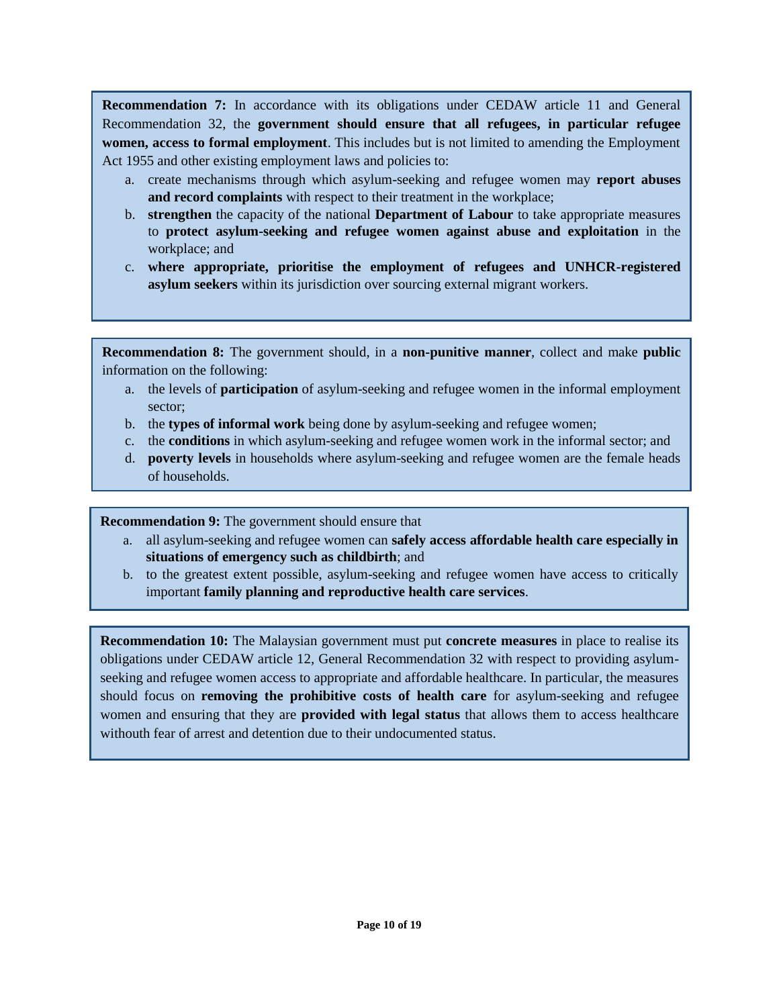**Recommendation 7:** In accordance with its obligations under CEDAW article 11 and General Recommendation 32, the **government should ensure that all refugees, in particular refugee women, access to formal employment**. This includes but is not limited to amending the Employment Act 1955 and other existing employment laws and policies to:

- a. create mechanisms through which asylum-seeking and refugee women may **report abuses and record complaints** with respect to their treatment in the workplace;
- b. **strengthen** the capacity of the national **Department of Labour** to take appropriate measures to **protect asylum-seeking and refugee women against abuse and exploitation** in the workplace; and
- c. **where appropriate, prioritise the employment of refugees and UNHCR-registered asylum seekers** within its jurisdiction over sourcing external migrant workers.

**Recommendation 8:** The government should, in a **non-punitive manner**, collect and make **public** information on the following:

- a. the levels of **participation** of asylum-seeking and refugee women in the informal employment sector;
- b. the **types of informal work** being done by asylum-seeking and refugee women;
- c. the **conditions** in which asylum-seeking and refugee women work in the informal sector; and
- d. **poverty levels** in households where asylum-seeking and refugee women are the female heads of households.

**Recommendation 9:** The government should ensure that

- a. all asylum-seeking and refugee women can **safely access affordable health care especially in situations of emergency such as childbirth**; and
- b. to the greatest extent possible, asylum-seeking and refugee women have access to critically important **family planning and reproductive health care services**.

**Recommendation 10:** The Malaysian government must put **concrete measures** in place to realise its obligations under CEDAW article 12, General Recommendation 32 with respect to providing asylumseeking and refugee women access to appropriate and affordable healthcare. In particular, the measures should focus on **removing the prohibitive costs of health care** for asylum-seeking and refugee women and ensuring that they are **provided with legal status** that allows them to access healthcare withouth fear of arrest and detention due to their undocumented status.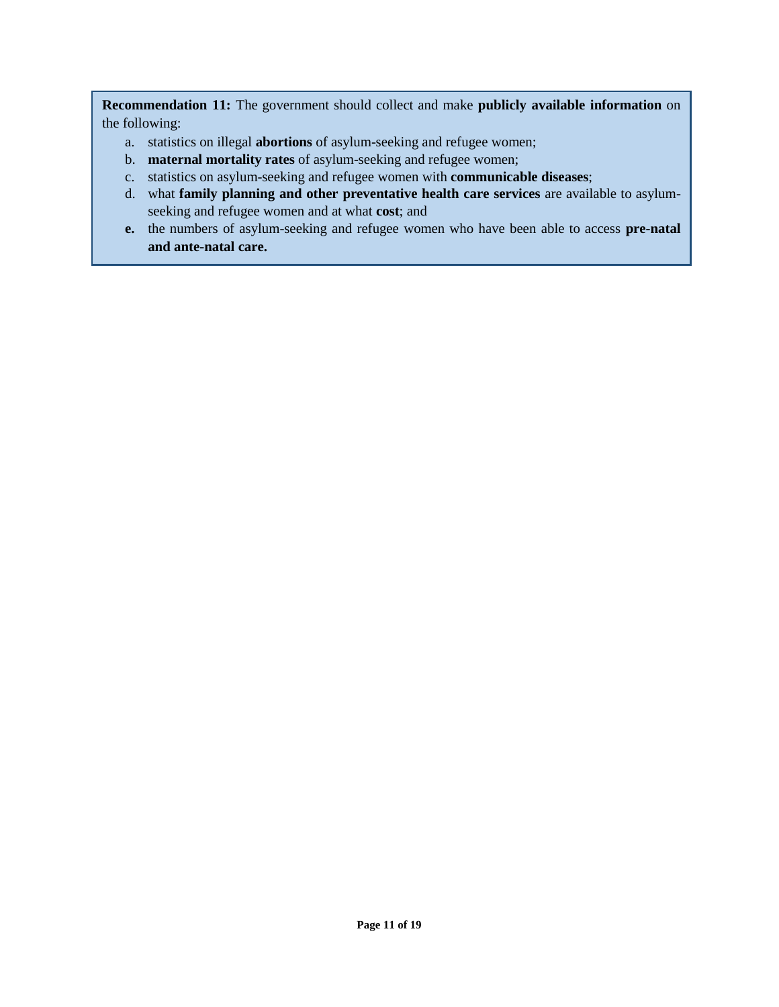**Recommendation 11:** The government should collect and make **publicly available information** on the following:

- a. statistics on illegal **abortions** of asylum-seeking and refugee women;
- b. **maternal mortality rates** of asylum-seeking and refugee women;
- c. statistics on asylum-seeking and refugee women with **communicable diseases**;
- d. what **family planning and other preventative health care services** are available to asylumseeking and refugee women and at what **cost**; and
- **e.** the numbers of asylum-seeking and refugee women who have been able to access **pre-natal and ante-natal care.**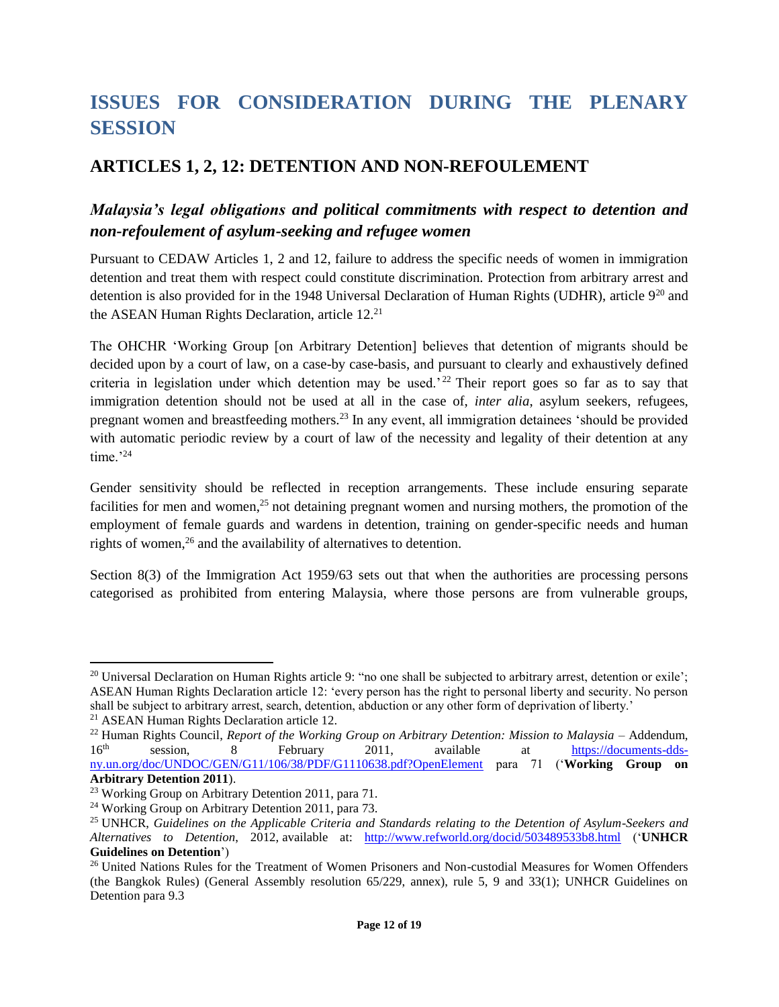# **ISSUES FOR CONSIDERATION DURING THE PLENARY SESSION**

# **ARTICLES 1, 2, 12: DETENTION AND NON-REFOULEMENT**

# *Malaysia's legal obligations and political commitments with respect to detention and non-refoulement of asylum-seeking and refugee women*

Pursuant to CEDAW Articles 1, 2 and 12, failure to address the specific needs of women in immigration detention and treat them with respect could constitute discrimination. Protection from arbitrary arrest and detention is also provided for in the 1948 Universal Declaration of Human Rights (UDHR), article 9<sup>20</sup> and the ASEAN Human Rights Declaration, article 12.<sup>21</sup>

The OHCHR 'Working Group [on Arbitrary Detention] believes that detention of migrants should be decided upon by a court of law, on a case-by case-basis, and pursuant to clearly and exhaustively defined criteria in legislation under which detention may be used.<sup>22</sup> Their report goes so far as to say that immigration detention should not be used at all in the case of, *inter alia*, asylum seekers, refugees, pregnant women and breastfeeding mothers.<sup>23</sup> In any event, all immigration detainees 'should be provided with automatic periodic review by a court of law of the necessity and legality of their detention at any time.'<sup>24</sup>

Gender sensitivity should be reflected in reception arrangements. These include ensuring separate facilities for men and women,<sup>25</sup> not detaining pregnant women and nursing mothers, the promotion of the employment of female guards and wardens in detention, training on gender-specific needs and human rights of women,<sup>26</sup> and the availability of alternatives to detention.

Section 8(3) of the Immigration Act 1959/63 sets out that when the authorities are processing persons categorised as prohibited from entering Malaysia, where those persons are from vulnerable groups,

<sup>&</sup>lt;sup>20</sup> Universal Declaration on Human Rights article 9: "no one shall be subjected to arbitrary arrest, detention or exile'; ASEAN Human Rights Declaration article 12: 'every person has the right to personal liberty and security. No person shall be subject to arbitrary arrest, search, detention, abduction or any other form of deprivation of liberty.'

<sup>21</sup> ASEAN Human Rights Declaration article 12.

<sup>22</sup> Human Rights Council, *Report of the Working Group on Arbitrary Detention: Mission to Malaysia –* Addendum, 16th session, 8 February 2011, available at [https://documents-dds](https://documents-dds-ny.un.org/doc/UNDOC/GEN/G11/106/38/PDF/G1110638.pdf?OpenElement)[ny.un.org/doc/UNDOC/GEN/G11/106/38/PDF/G1110638.pdf?OpenElement](https://documents-dds-ny.un.org/doc/UNDOC/GEN/G11/106/38/PDF/G1110638.pdf?OpenElement) para 71 ('**Working Group on Arbitrary Detention 2011**).

<sup>&</sup>lt;sup>23</sup> Working Group on Arbitrary Detention 2011, para 71.

<sup>24</sup> Working Group on Arbitrary Detention 2011, para 73.

<sup>25</sup> UNHCR, *Guidelines on the Applicable Criteria and Standards relating to the Detention of Asylum-Seekers and Alternatives to Detention*, 2012, available at: <http://www.refworld.org/docid/503489533b8.html> ('**UNHCR Guidelines on Detention**')

<sup>&</sup>lt;sup>26</sup> United Nations Rules for the Treatment of Women Prisoners and Non-custodial Measures for Women Offenders (the Bangkok Rules) (General Assembly resolution 65/229, annex), rule 5, 9 and 33(1); UNHCR Guidelines on Detention para 9.3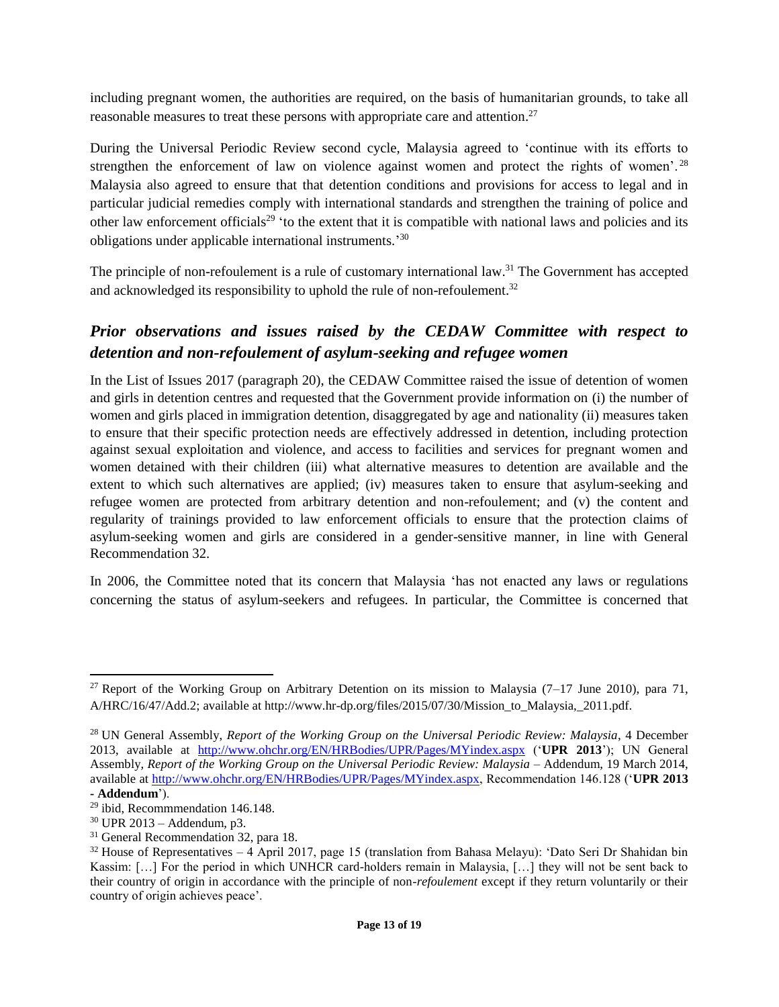including pregnant women, the authorities are required, on the basis of humanitarian grounds, to take all reasonable measures to treat these persons with appropriate care and attention.<sup>27</sup>

During the Universal Periodic Review second cycle, Malaysia agreed to 'continue with its efforts to strengthen the enforcement of law on violence against women and protect the rights of women'.<sup>28</sup> Malaysia also agreed to ensure that that detention conditions and provisions for access to legal and in particular judicial remedies comply with international standards and strengthen the training of police and other law enforcement officials<sup>29</sup> 'to the extent that it is compatible with national laws and policies and its obligations under applicable international instruments.' 30

The principle of non-refoulement is a rule of customary international law.<sup>31</sup> The Government has accepted and acknowledged its responsibility to uphold the rule of non-refoulement.<sup>32</sup>

## *Prior observations and issues raised by the CEDAW Committee with respect to detention and non-refoulement of asylum-seeking and refugee women*

In the List of Issues 2017 (paragraph 20), the CEDAW Committee raised the issue of detention of women and girls in detention centres and requested that the Government provide information on (i) the number of women and girls placed in immigration detention, disaggregated by age and nationality (ii) measures taken to ensure that their specific protection needs are effectively addressed in detention, including protection against sexual exploitation and violence, and access to facilities and services for pregnant women and women detained with their children (iii) what alternative measures to detention are available and the extent to which such alternatives are applied; (iv) measures taken to ensure that asylum-seeking and refugee women are protected from arbitrary detention and non-refoulement; and (v) the content and regularity of trainings provided to law enforcement officials to ensure that the protection claims of asylum-seeking women and girls are considered in a gender-sensitive manner, in line with General Recommendation 32.

In 2006, the Committee noted that its concern that Malaysia 'has not enacted any laws or regulations concerning the status of asylum-seekers and refugees. In particular, the Committee is concerned that

<sup>&</sup>lt;sup>27</sup> Report of the Working Group on Arbitrary Detention on its mission to Malaysia  $(7-17$  June 2010), para 71, A/HRC/16/47/Add.2; available at http://www.hr-dp.org/files/2015/07/30/Mission\_to\_Malaysia,\_2011.pdf.

<sup>28</sup> UN General Assembly, *Report of the Working Group on the Universal Periodic Review: Malaysia*, 4 December 2013, available at <http://www.ohchr.org/EN/HRBodies/UPR/Pages/MYindex.aspx> ('**UPR 2013**'); UN General Assembly, *Report of the Working Group on the Universal Periodic Review: Malaysia –* Addendum, 19 March 2014, available at [http://www.ohchr.org/EN/HRBodies/UPR/Pages/MYindex.aspx,](http://www.ohchr.org/EN/HRBodies/UPR/Pages/MYindex.aspx) Recommendation 146.128 ('**UPR 2013 - Addendum**').

<sup>29</sup> ibid, Recommmendation 146.148.

 $30$  UPR 2013 – Addendum, p3.

<sup>&</sup>lt;sup>31</sup> General Recommendation 32, para 18.

 $32$  House of Representatives – 4 April 2017, page 15 (translation from Bahasa Melayu): 'Dato Seri Dr Shahidan bin Kassim: […] For the period in which UNHCR card-holders remain in Malaysia, […] they will not be sent back to their country of origin in accordance with the principle of non-*refoulement* except if they return voluntarily or their country of origin achieves peace'.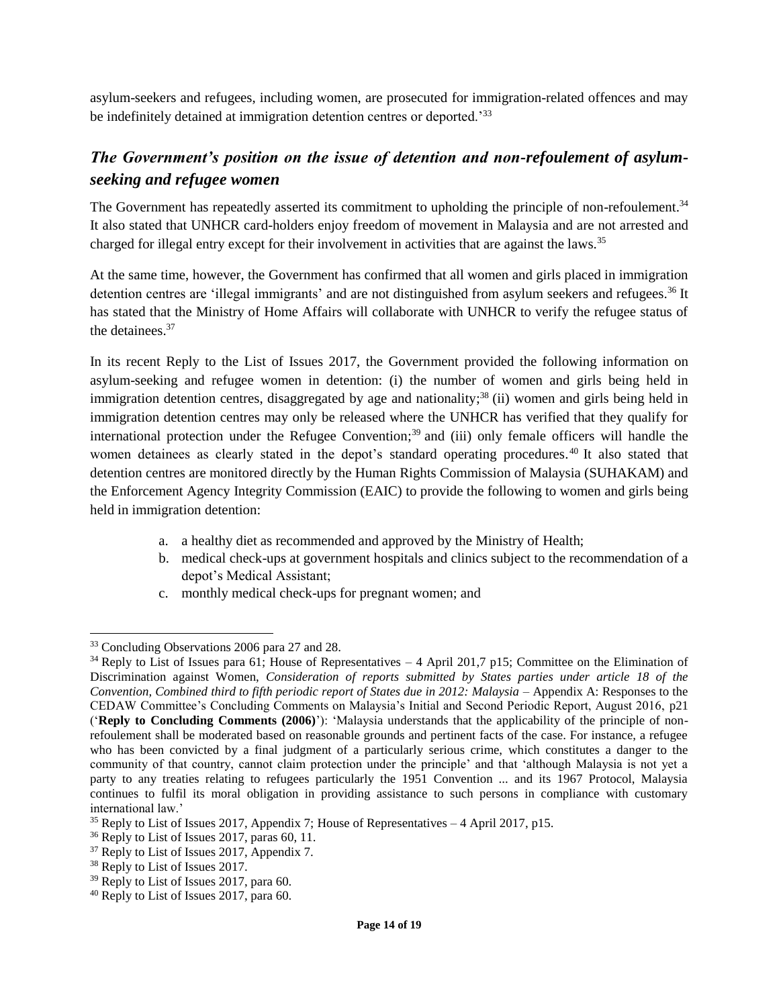asylum-seekers and refugees, including women, are prosecuted for immigration-related offences and may be indefinitely detained at immigration detention centres or deported.<sup>33</sup>

## *The Government's position on the issue of detention and non-refoulement of asylumseeking and refugee women*

The Government has repeatedly asserted its commitment to upholding the principle of non-refoulement.<sup>34</sup> It also stated that UNHCR card-holders enjoy freedom of movement in Malaysia and are not arrested and charged for illegal entry except for their involvement in activities that are against the laws.<sup>35</sup>

At the same time, however, the Government has confirmed that all women and girls placed in immigration detention centres are 'illegal immigrants' and are not distinguished from asylum seekers and refugees.<sup>36</sup> It has stated that the Ministry of Home Affairs will collaborate with UNHCR to verify the refugee status of the detainees. 37

In its recent Reply to the List of Issues 2017, the Government provided the following information on asylum-seeking and refugee women in detention: (i) the number of women and girls being held in immigration detention centres, disaggregated by age and nationality;<sup>38</sup> (ii) women and girls being held in immigration detention centres may only be released where the UNHCR has verified that they qualify for international protection under the Refugee Convention; <sup>39</sup> and (iii) only female officers will handle the women detainees as clearly stated in the depot's standard operating procedures. <sup>40</sup> It also stated that detention centres are monitored directly by the Human Rights Commission of Malaysia (SUHAKAM) and the Enforcement Agency Integrity Commission (EAIC) to provide the following to women and girls being held in immigration detention:

- a. a healthy diet as recommended and approved by the Ministry of Health;
- b. medical check-ups at government hospitals and clinics subject to the recommendation of a depot's Medical Assistant;
- c. monthly medical check-ups for pregnant women; and

<sup>&</sup>lt;sup>33</sup> Concluding Observations 2006 para 27 and 28.

 $34$  Reply to List of Issues para 61; House of Representatives – 4 April 201,7 p15; Committee on the Elimination of Discrimination against Women, *Consideration of reports submitted by States parties under article 18 of the Convention, Combined third to fifth periodic report of States due in 2012: Malaysia – Appendix A: Responses to the* CEDAW Committee's Concluding Comments on Malaysia's Initial and Second Periodic Report, August 2016, p21 ('**Reply to Concluding Comments (2006)**'): 'Malaysia understands that the applicability of the principle of nonrefoulement shall be moderated based on reasonable grounds and pertinent facts of the case. For instance, a refugee who has been convicted by a final judgment of a particularly serious crime, which constitutes a danger to the community of that country, cannot claim protection under the principle' and that 'although Malaysia is not yet a party to any treaties relating to refugees particularly the 1951 Convention ... and its 1967 Protocol, Malaysia continues to fulfil its moral obligation in providing assistance to such persons in compliance with customary international law.'

 $35$  Reply to List of Issues 2017, Appendix 7; House of Representatives  $-4$  April 2017, p15.

<sup>&</sup>lt;sup>36</sup> Reply to List of Issues 2017, paras 60, 11.

<sup>&</sup>lt;sup>37</sup> Reply to List of Issues 2017, Appendix 7.

<sup>&</sup>lt;sup>38</sup> Reply to List of Issues 2017.

<sup>&</sup>lt;sup>39</sup> Reply to List of Issues 2017, para 60.

<sup>40</sup> Reply to List of Issues 2017, para 60.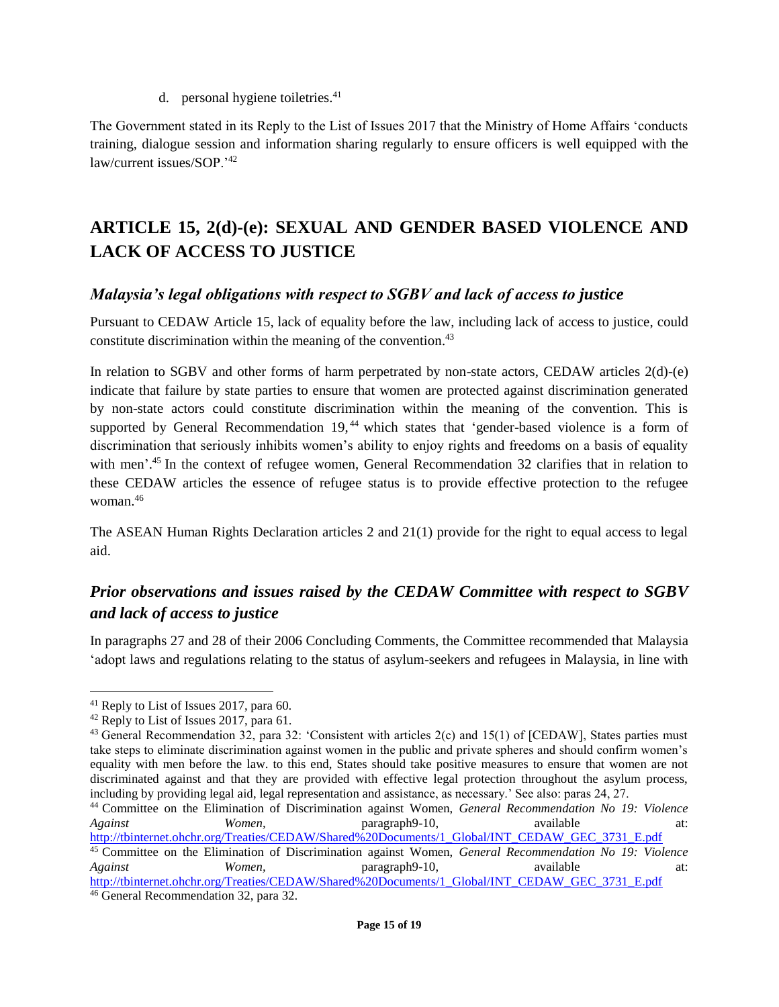d. personal hygiene toiletries.<sup>41</sup>

The Government stated in its Reply to the List of Issues 2017 that the Ministry of Home Affairs 'conducts training, dialogue session and information sharing regularly to ensure officers is well equipped with the law/current issues/SOP.'<sup>42</sup>

# **ARTICLE 15, 2(d)-(e): SEXUAL AND GENDER BASED VIOLENCE AND LACK OF ACCESS TO JUSTICE**

### *Malaysia's legal obligations with respect to SGBV and lack of access to justice*

Pursuant to CEDAW Article 15, lack of equality before the law, including lack of access to justice, could constitute discrimination within the meaning of the convention. 43

In relation to SGBV and other forms of harm perpetrated by non-state actors, CEDAW articles 2(d)-(e) indicate that failure by state parties to ensure that women are protected against discrimination generated by non-state actors could constitute discrimination within the meaning of the convention. This is supported by General Recommendation 19,<sup>44</sup> which states that 'gender-based violence is a form of discrimination that seriously inhibits women's ability to enjoy rights and freedoms on a basis of equality with men'.<sup>45</sup> In the context of refugee women, General Recommendation 32 clarifies that in relation to these CEDAW articles the essence of refugee status is to provide effective protection to the refugee woman. 46

The ASEAN Human Rights Declaration articles 2 and 21(1) provide for the right to equal access to legal aid.

# *Prior observations and issues raised by the CEDAW Committee with respect to SGBV and lack of access to justice*

In paragraphs 27 and 28 of their 2006 Concluding Comments, the Committee recommended that Malaysia 'adopt laws and regulations relating to the status of asylum-seekers and refugees in Malaysia, in line with

<sup>44</sup> Committee on the Elimination of Discrimination against Women, *General Recommendation No 19: Violence Against Women,* paragraph9-10, available at:

<sup>46</sup> General Recommendation 32, para 32.

<sup>41</sup> Reply to List of Issues 2017, para 60.

 $42$  Reply to List of Issues 2017, para 61.

<sup>&</sup>lt;sup>43</sup> General Recommendation 32, para 32: 'Consistent with articles 2(c) and 15(1) of [CEDAW], States parties must take steps to eliminate discrimination against women in the public and private spheres and should confirm women's equality with men before the law. to this end, States should take positive measures to ensure that women are not discriminated against and that they are provided with effective legal protection throughout the asylum process, including by providing legal aid, legal representation and assistance, as necessary.' See also: paras 24, 27.

[http://tbinternet.ohchr.org/Treaties/CEDAW/Shared%20Documents/1\\_Global/INT\\_CEDAW\\_GEC\\_3731\\_E.pdf](http://tbinternet.ohchr.org/Treaties/CEDAW/Shared%20Documents/1_Global/INT_CEDAW_GEC_3731_E.pdf) <sup>45</sup> Committee on the Elimination of Discrimination against Women, *General Recommendation No 19: Violence* 

*Against Women*, paragraph9-10, available at: [http://tbinternet.ohchr.org/Treaties/CEDAW/Shared%20Documents/1\\_Global/INT\\_CEDAW\\_GEC\\_3731\\_E.pdf](http://tbinternet.ohchr.org/Treaties/CEDAW/Shared%20Documents/1_Global/INT_CEDAW_GEC_3731_E.pdf)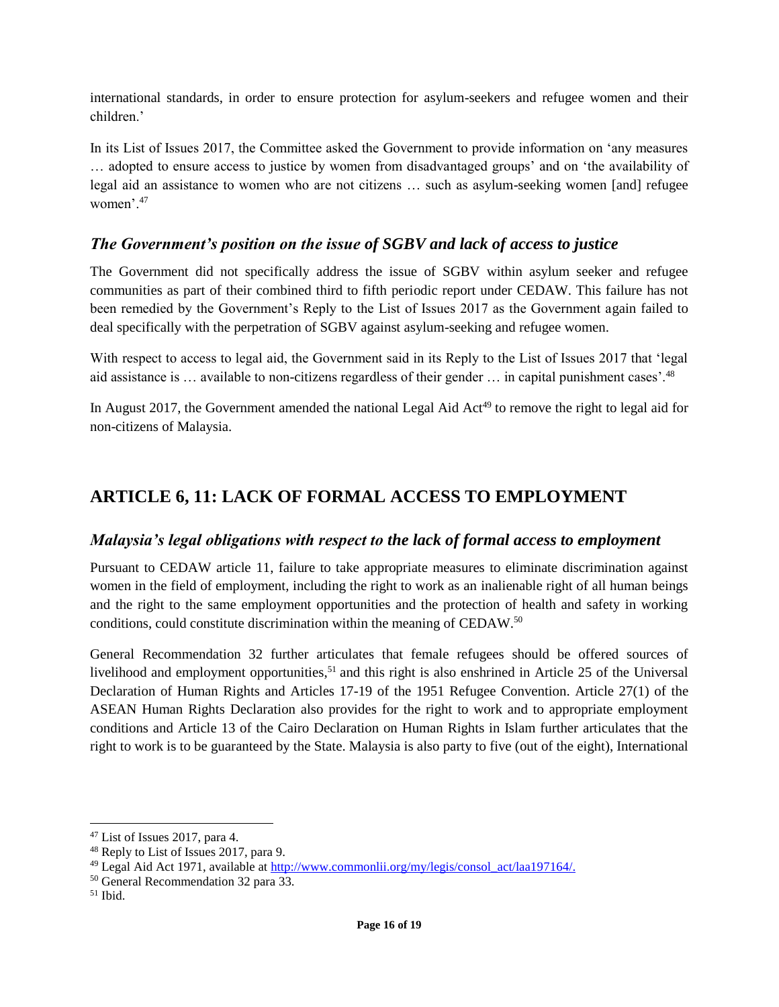international standards, in order to ensure protection for asylum-seekers and refugee women and their children.'

In its List of Issues 2017, the Committee asked the Government to provide information on 'any measures … adopted to ensure access to justice by women from disadvantaged groups' and on 'the availability of legal aid an assistance to women who are not citizens … such as asylum-seeking women [and] refugee women'.<sup>47</sup>

### *The Government's position on the issue of SGBV and lack of access to justice*

The Government did not specifically address the issue of SGBV within asylum seeker and refugee communities as part of their combined third to fifth periodic report under CEDAW. This failure has not been remedied by the Government's Reply to the List of Issues 2017 as the Government again failed to deal specifically with the perpetration of SGBV against asylum-seeking and refugee women.

With respect to access to legal aid, the Government said in its Reply to the List of Issues 2017 that 'legal aid assistance is ... available to non-citizens regardless of their gender ... in capital punishment cases'.<sup>48</sup>

In August 2017, the Government amended the national Legal Aid Act<sup>49</sup> to remove the right to legal aid for non-citizens of Malaysia.

# **ARTICLE 6, 11: LACK OF FORMAL ACCESS TO EMPLOYMENT**

#### *Malaysia's legal obligations with respect to the lack of formal access to employment*

Pursuant to CEDAW article 11, failure to take appropriate measures to eliminate discrimination against women in the field of employment, including the right to work as an inalienable right of all human beings and the right to the same employment opportunities and the protection of health and safety in working conditions, could constitute discrimination within the meaning of CEDAW.<sup>50</sup>

General Recommendation 32 further articulates that female refugees should be offered sources of livelihood and employment opportunities,<sup>51</sup> and this right is also enshrined in Article 25 of the Universal Declaration of Human Rights and Articles 17-19 of the 1951 Refugee Convention. Article 27(1) of the ASEAN Human Rights Declaration also provides for the right to work and to appropriate employment conditions and Article 13 of the Cairo Declaration on Human Rights in Islam further articulates that the right to work is to be guaranteed by the State. Malaysia is also party to five (out of the eight), International

<sup>47</sup> List of Issues 2017, para 4.

<sup>48</sup> Reply to List of Issues 2017, para 9.

 $^{49}$  Legal Aid Act 1971, available at [http://www.commonlii.org/my/legis/consol\\_act/laa197164/.](http://www.commonlii.org/my/legis/consol_act/laa197164/)

<sup>50</sup> General Recommendation 32 para 33.

<sup>51</sup> Ibid.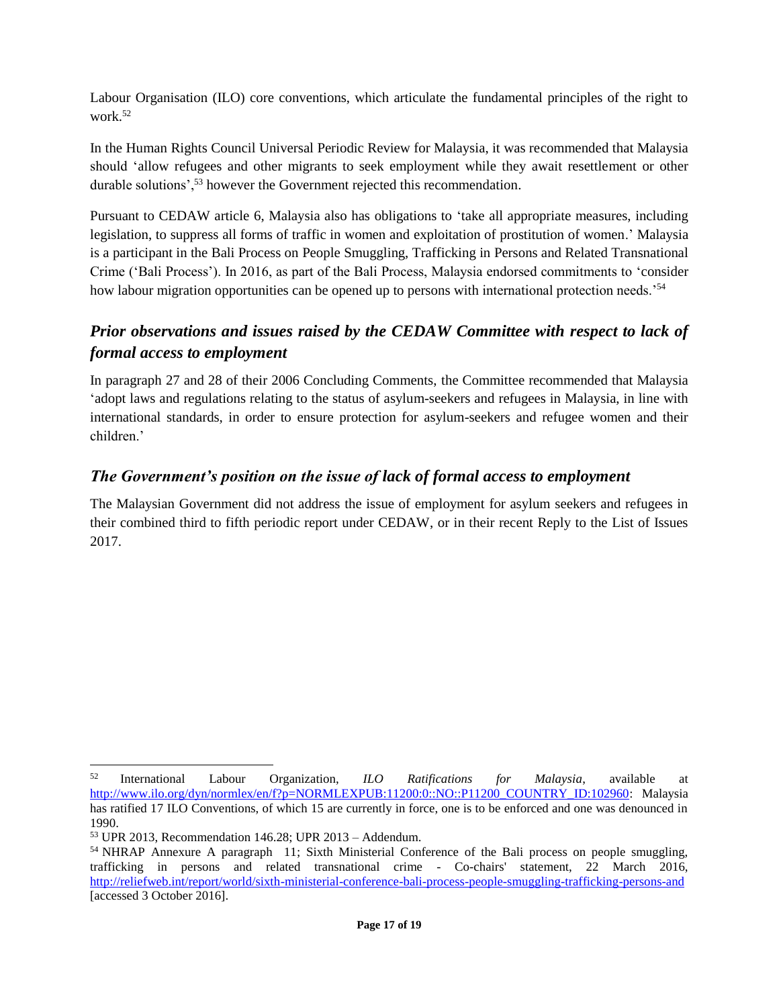Labour Organisation (ILO) core conventions, which articulate the fundamental principles of the right to work.<sup>52</sup>

In the Human Rights Council Universal Periodic Review for Malaysia, it was recommended that Malaysia should 'allow refugees and other migrants to seek employment while they await resettlement or other durable solutions',<sup>53</sup> however the Government rejected this recommendation.

Pursuant to CEDAW article 6, Malaysia also has obligations to 'take all appropriate measures, including legislation, to suppress all forms of traffic in women and exploitation of prostitution of women.' Malaysia is a participant in the Bali Process on People Smuggling, Trafficking in Persons and Related Transnational Crime ('Bali Process'). In 2016, as part of the Bali Process, Malaysia endorsed commitments to 'consider how labour migration opportunities can be opened up to persons with international protection needs.<sup>54</sup>

## *Prior observations and issues raised by the CEDAW Committee with respect to lack of formal access to employment*

In paragraph 27 and 28 of their 2006 Concluding Comments, the Committee recommended that Malaysia 'adopt laws and regulations relating to the status of asylum-seekers and refugees in Malaysia, in line with international standards, in order to ensure protection for asylum-seekers and refugee women and their children.'

### *The Government's position on the issue of lack of formal access to employment*

The Malaysian Government did not address the issue of employment for asylum seekers and refugees in their combined third to fifth periodic report under CEDAW, or in their recent Reply to the List of Issues 2017.

<sup>52</sup> International Labour Organization, *ILO Ratifications for Malaysia*, available at [http://www.ilo.org/dyn/normlex/en/f?p=NORMLEXPUB:11200:0::NO::P11200\\_COUNTRY\\_ID:102960:](http://www.ilo.org/dyn/normlex/en/f?p=NORMLEXPUB:11200:0::NO::P11200_COUNTRY_ID:102960) Malaysia has ratified 17 ILO Conventions, of which 15 are currently in force, one is to be enforced and one was denounced in 1990.

<sup>53</sup> UPR 2013, Recommendation 146.28; UPR 2013 – Addendum.

<sup>54</sup> NHRAP Annexure A paragraph 11; Sixth Ministerial Conference of the Bali process on people smuggling, trafficking in persons and related transnational crime - Co-chairs' statement, 22 March 2016, <http://reliefweb.int/report/world/sixth-ministerial-conference-bali-process-people-smuggling-trafficking-persons-and> [accessed 3 October 2016].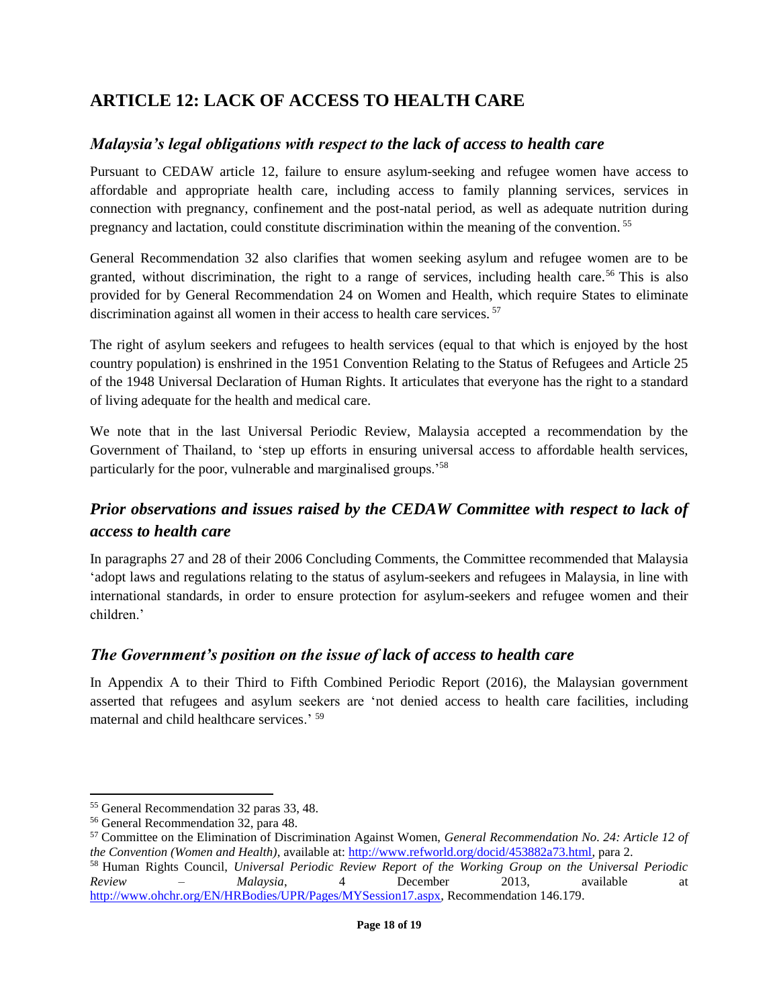# **ARTICLE 12: LACK OF ACCESS TO HEALTH CARE**

### *Malaysia's legal obligations with respect to the lack of access to health care*

Pursuant to CEDAW article 12, failure to ensure asylum-seeking and refugee women have access to affordable and appropriate health care, including access to family planning services, services in connection with pregnancy, confinement and the post-natal period, as well as adequate nutrition during pregnancy and lactation, could constitute discrimination within the meaning of the convention. <sup>55</sup>

General Recommendation 32 also clarifies that women seeking asylum and refugee women are to be granted, without discrimination, the right to a range of services, including health care.<sup>56</sup> This is also provided for by General Recommendation 24 on Women and Health, which require States to eliminate discrimination against all women in their access to health care services.<sup>57</sup>

The right of asylum seekers and refugees to health services (equal to that which is enjoyed by the host country population) is enshrined in the 1951 Convention Relating to the Status of Refugees and Article 25 of the 1948 Universal Declaration of Human Rights. It articulates that everyone has the right to a standard of living adequate for the health and medical care.

We note that in the last Universal Periodic Review, Malaysia accepted a recommendation by the Government of Thailand, to 'step up efforts in ensuring universal access to affordable health services, particularly for the poor, vulnerable and marginalised groups.'<sup>58</sup>

# *Prior observations and issues raised by the CEDAW Committee with respect to lack of access to health care*

In paragraphs 27 and 28 of their 2006 Concluding Comments, the Committee recommended that Malaysia 'adopt laws and regulations relating to the status of asylum-seekers and refugees in Malaysia, in line with international standards, in order to ensure protection for asylum-seekers and refugee women and their children.'

### *The Government's position on the issue of lack of access to health care*

In Appendix A to their Third to Fifth Combined Periodic Report (2016), the Malaysian government asserted that refugees and asylum seekers are 'not denied access to health care facilities, including maternal and child healthcare services.' <sup>59</sup>

<sup>55</sup> General Recommendation 32 paras 33, 48.

<sup>56</sup> General Recommendation 32, para 48.

<sup>57</sup> Committee on the Elimination of Discrimination Against Women, *General Recommendation No. 24: Article 12 of the Convention (Women and Health)*, available at: [http://www.refworld.org/docid/453882a73.html,](http://www.refworld.org/docid/453882a73.html) para 2.

<sup>58</sup> Human Rights Council, *Universal Periodic Review Report of the Working Group on the Universal Periodic Review – Malaysia*, 4 December 2013, available at [http://www.ohchr.org/EN/HRBodies/UPR/Pages/MYSession17.aspx,](http://www.ohchr.org/EN/HRBodies/UPR/Pages/MYSession17.aspx) Recommendation 146.179.